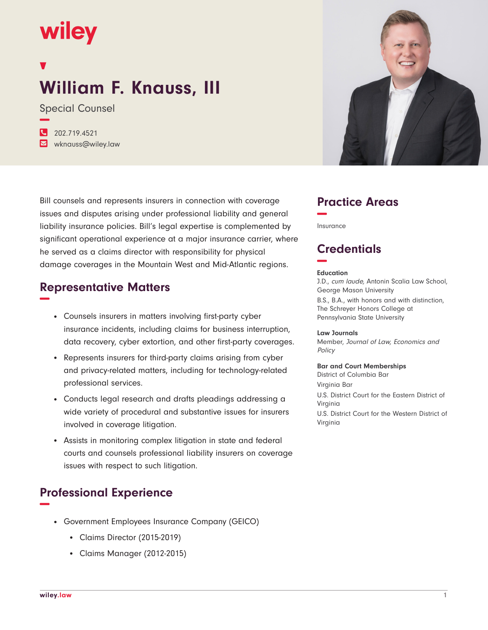## wiley

# **William F. Knauss, III**

Special Counsel **−**

**�** 202.719.4521 **�** wknauss@wiley.law

Bill counsels and represents insurers in connection with coverage issues and disputes arising under professional liability and general liability insurance policies. Bill's legal expertise is complemented by significant operational experience at a major insurance carrier, where he served as a claims director with responsibility for physical damage coverages in the Mountain West and Mid-Atlantic regions.

#### **Representative Matters −**

- Counsels insurers in matters involving first-party cyber insurance incidents, including claims for business interruption, data recovery, cyber extortion, and other first-party coverages.
- Represents insurers for third-party claims arising from cyber and privacy-related matters, including for technology-related professional services.
- Conducts legal research and drafts pleadings addressing a wide variety of procedural and substantive issues for insurers involved in coverage litigation.
- Assists in monitoring complex litigation in state and federal courts and counsels professional liability insurers on coverage issues with respect to such litigation.

### **Professional Experience −**

- Government Employees Insurance Company (GEICO)
	- Claims Director (2015-2019)
	- Claims Manager (2012-2015)



### **Practice Areas −**

Insurance

## **Credentials −**

#### **Education**

J.D., cum laude, Antonin Scalia Law School, George Mason University B.S., B.A., with honors and with distinction, The Schreyer Honors College at Pennsylvania State University

#### **Law Journals**

Member, Journal of Law, Economics and Policy

#### **Bar and Court Memberships**

District of Columbia Bar Virginia Bar U.S. District Court for the Eastern District of Virginia U.S. District Court for the Western District of Virginia